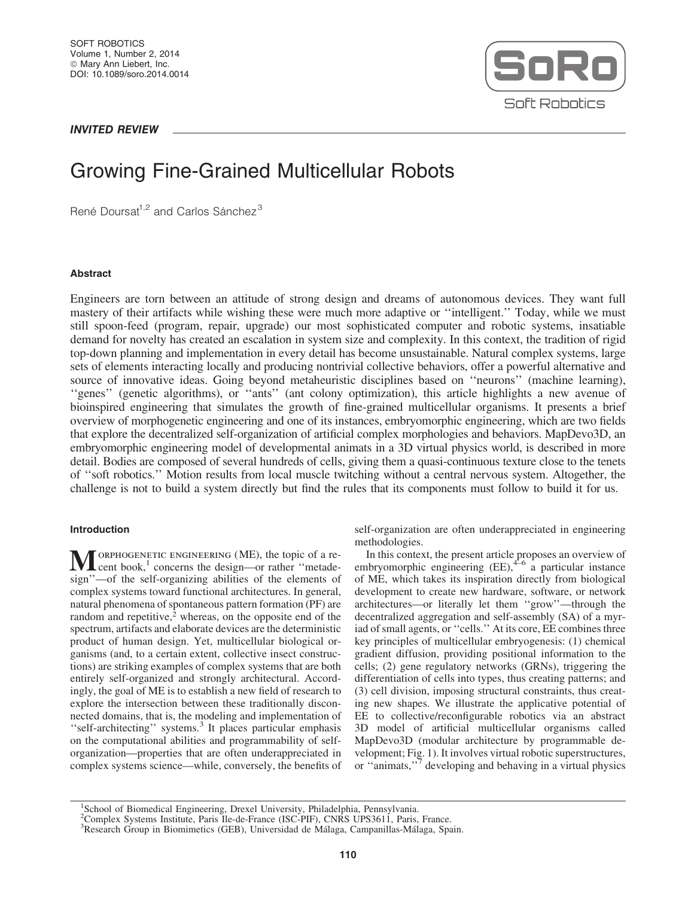

# INVITED REVIEW

# Growing Fine-Grained Multicellular Robots

René Doursat<sup>1,2</sup> and Carlos Sánchez<sup>3</sup>

# Abstract

Engineers are torn between an attitude of strong design and dreams of autonomous devices. They want full mastery of their artifacts while wishing these were much more adaptive or ''intelligent.'' Today, while we must still spoon-feed (program, repair, upgrade) our most sophisticated computer and robotic systems, insatiable demand for novelty has created an escalation in system size and complexity. In this context, the tradition of rigid top-down planning and implementation in every detail has become unsustainable. Natural complex systems, large sets of elements interacting locally and producing nontrivial collective behaviors, offer a powerful alternative and source of innovative ideas. Going beyond metaheuristic disciplines based on ''neurons'' (machine learning), ''genes'' (genetic algorithms), or ''ants'' (ant colony optimization), this article highlights a new avenue of bioinspired engineering that simulates the growth of fine-grained multicellular organisms. It presents a brief overview of morphogenetic engineering and one of its instances, embryomorphic engineering, which are two fields that explore the decentralized self-organization of artificial complex morphologies and behaviors. MapDevo3D, an embryomorphic engineering model of developmental animats in a 3D virtual physics world, is described in more detail. Bodies are composed of several hundreds of cells, giving them a quasi-continuous texture close to the tenets of ''soft robotics.'' Motion results from local muscle twitching without a central nervous system. Altogether, the challenge is not to build a system directly but find the rules that its components must follow to build it for us.

# Introduction

MORPHOGENETIC ENGINEERING (ME), the topic of a re-<br>cent book,<sup>1</sup> concerns the design—or rather "metadesign''—of the self-organizing abilities of the elements of complex systems toward functional architectures. In general, natural phenomena of spontaneous pattern formation (PF) are random and repetitive,<sup>2</sup> whereas, on the opposite end of the spectrum, artifacts and elaborate devices are the deterministic product of human design. Yet, multicellular biological organisms (and, to a certain extent, collective insect constructions) are striking examples of complex systems that are both entirely self-organized and strongly architectural. Accordingly, the goal of ME is to establish a new field of research to explore the intersection between these traditionally disconnected domains, that is, the modeling and implementation of "self-architecting" systems.<sup>3</sup> It places particular emphasis on the computational abilities and programmability of selforganization—properties that are often underappreciated in complex systems science—while, conversely, the benefits of self-organization are often underappreciated in engineering methodologies.

In this context, the present article proposes an overview of embryomorphic engineering  $(EE)$ ,<sup>4-6</sup> a particular instance of ME, which takes its inspiration directly from biological development to create new hardware, software, or network architectures—or literally let them ''grow''—through the decentralized aggregation and self-assembly (SA) of a myriad of small agents, or ''cells.'' At its core, EE combines three key principles of multicellular embryogenesis: (1) chemical gradient diffusion, providing positional information to the cells; (2) gene regulatory networks (GRNs), triggering the differentiation of cells into types, thus creating patterns; and (3) cell division, imposing structural constraints, thus creating new shapes. We illustrate the applicative potential of EE to collective/reconfigurable robotics via an abstract 3D model of artificial multicellular organisms called MapDevo3D (modular architecture by programmable development; Fig. 1). It involves virtual robotic superstructures, or "animats,"<sup>7</sup> developing and behaving in a virtual physics

<sup>&</sup>lt;sup>1</sup>School of Biomedical Engineering, Drexel University, Philadelphia, Pennsylvania.

<sup>&</sup>lt;sup>2</sup>Complex Systems Institute, Paris Ile-de-France (ISC-PIF), CNRS UPS3611, Paris, France.

<sup>&</sup>lt;sup>3</sup>Research Group in Biomimetics (GEB), Universidad de Málaga, Campanillas-Málaga, Spain.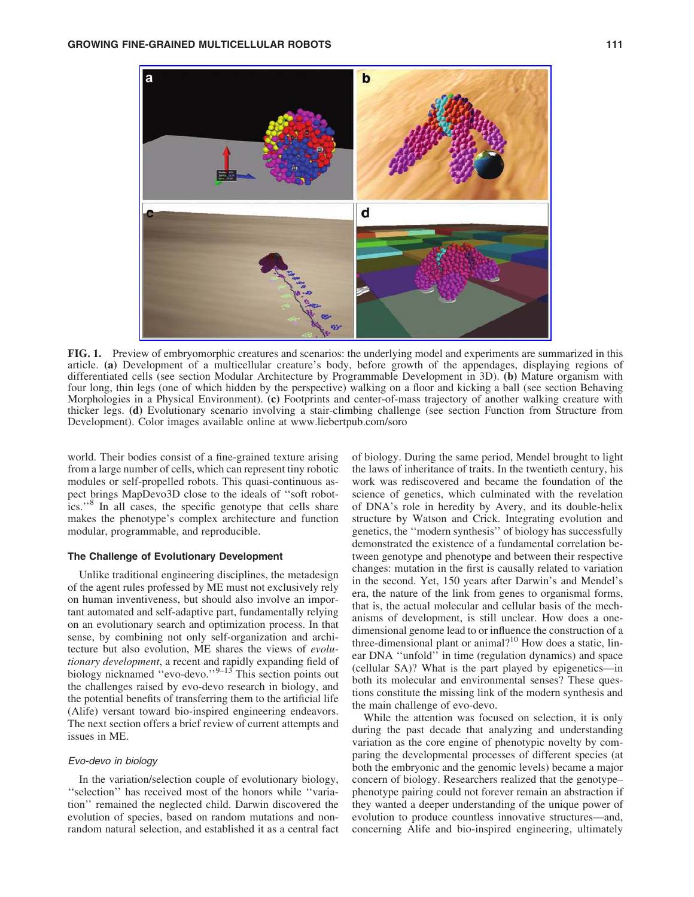

FIG. 1. Preview of embryomorphic creatures and scenarios: the underlying model and experiments are summarized in this article. (a) Development of a multicellular creature's body, before growth of the appendages, displaying regions of differentiated cells (see section Modular Architecture by Programmable Development in 3D). (b) Mature organism with four long, thin legs (one of which hidden by the perspective) walking on a floor and kicking a ball (see section Behaving Morphologies in a Physical Environment). (c) Footprints and center-of-mass trajectory of another walking creature with thicker legs. (d) Evolutionary scenario involving a stair-climbing challenge (see section Function from Structure from Development). Color images available online at www.liebertpub.com/soro

world. Their bodies consist of a fine-grained texture arising from a large number of cells, which can represent tiny robotic modules or self-propelled robots. This quasi-continuous aspect brings MapDevo3D close to the ideals of ''soft robotics.''<sup>8</sup> In all cases, the specific genotype that cells share makes the phenotype's complex architecture and function modular, programmable, and reproducible.

## The Challenge of Evolutionary Development

Unlike traditional engineering disciplines, the metadesign of the agent rules professed by ME must not exclusively rely on human inventiveness, but should also involve an important automated and self-adaptive part, fundamentally relying on an evolutionary search and optimization process. In that sense, by combining not only self-organization and architecture but also evolution, ME shares the views of *evolutionary development*, a recent and rapidly expanding field of biology nicknamed "evo-devo."<sup>9–13</sup> This section points out the challenges raised by evo-devo research in biology, and the potential benefits of transferring them to the artificial life (Alife) versant toward bio-inspired engineering endeavors. The next section offers a brief review of current attempts and issues in ME.

#### Evo-devo in biology

In the variation/selection couple of evolutionary biology, ''selection'' has received most of the honors while ''variation'' remained the neglected child. Darwin discovered the evolution of species, based on random mutations and nonrandom natural selection, and established it as a central fact of biology. During the same period, Mendel brought to light the laws of inheritance of traits. In the twentieth century, his work was rediscovered and became the foundation of the science of genetics, which culminated with the revelation of DNA's role in heredity by Avery, and its double-helix structure by Watson and Crick. Integrating evolution and genetics, the ''modern synthesis'' of biology has successfully demonstrated the existence of a fundamental correlation between genotype and phenotype and between their respective changes: mutation in the first is causally related to variation in the second. Yet, 150 years after Darwin's and Mendel's era, the nature of the link from genes to organismal forms, that is, the actual molecular and cellular basis of the mechanisms of development, is still unclear. How does a onedimensional genome lead to or influence the construction of a three-dimensional plant or animal?<sup>10</sup> How does a static, linear DNA ''unfold'' in time (regulation dynamics) and space (cellular SA)? What is the part played by epigenetics—in both its molecular and environmental senses? These questions constitute the missing link of the modern synthesis and the main challenge of evo-devo.

While the attention was focused on selection, it is only during the past decade that analyzing and understanding variation as the core engine of phenotypic novelty by comparing the developmental processes of different species (at both the embryonic and the genomic levels) became a major concern of biology. Researchers realized that the genotype– phenotype pairing could not forever remain an abstraction if they wanted a deeper understanding of the unique power of evolution to produce countless innovative structures—and, concerning Alife and bio-inspired engineering, ultimately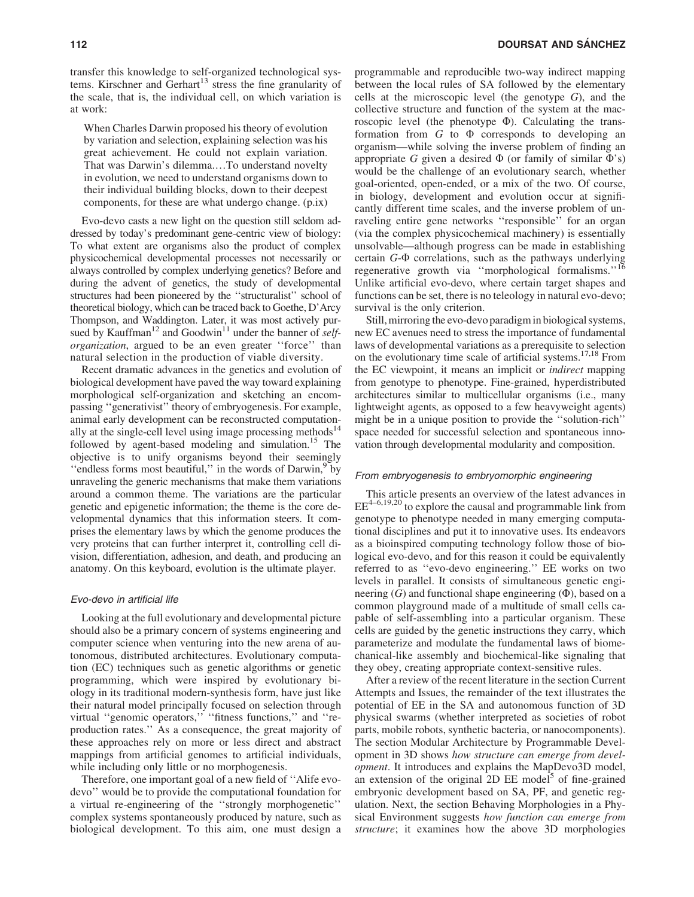transfer this knowledge to self-organized technological systems. Kirschner and Gerhart<sup>13</sup> stress the fine granularity of the scale, that is, the individual cell, on which variation is at work:

When Charles Darwin proposed his theory of evolution by variation and selection, explaining selection was his great achievement. He could not explain variation. That was Darwin's dilemma....To understand novelty in evolution, we need to understand organisms down to their individual building blocks, down to their deepest components, for these are what undergo change. (p.ix)

Evo-devo casts a new light on the question still seldom addressed by today's predominant gene-centric view of biology: To what extent are organisms also the product of complex physicochemical developmental processes not necessarily or always controlled by complex underlying genetics? Before and during the advent of genetics, the study of developmental structures had been pioneered by the ''structuralist'' school of theoretical biology, which can be traced back to Goethe, D'Arcy Thompson, and Waddington. Later, it was most actively pursued by Kauffman<sup>12</sup> and Goodwin<sup>11</sup> under the banner of *selforganization*, argued to be an even greater "force" than natural selection in the production of viable diversity.

Recent dramatic advances in the genetics and evolution of biological development have paved the way toward explaining morphological self-organization and sketching an encompassing ''generativist'' theory of embryogenesis. For example, animal early development can be reconstructed computationally at the single-cell level using image processing methods<sup>14</sup> followed by agent-based modeling and simulation.<sup>15</sup> The objective is to unify organisms beyond their seemingly "endless forms most beautiful," in the words of Darwin, by unraveling the generic mechanisms that make them variations around a common theme. The variations are the particular genetic and epigenetic information; the theme is the core developmental dynamics that this information steers. It comprises the elementary laws by which the genome produces the very proteins that can further interpret it, controlling cell division, differentiation, adhesion, and death, and producing an anatomy. On this keyboard, evolution is the ultimate player.

#### Evo-devo in artificial life

Looking at the full evolutionary and developmental picture should also be a primary concern of systems engineering and computer science when venturing into the new arena of autonomous, distributed architectures. Evolutionary computation (EC) techniques such as genetic algorithms or genetic programming, which were inspired by evolutionary biology in its traditional modern-synthesis form, have just like their natural model principally focused on selection through virtual ''genomic operators,'' ''fitness functions,'' and ''reproduction rates.'' As a consequence, the great majority of these approaches rely on more or less direct and abstract mappings from artificial genomes to artificial individuals, while including only little or no morphogenesis.

Therefore, one important goal of a new field of ''Alife evodevo'' would be to provide the computational foundation for a virtual re-engineering of the ''strongly morphogenetic'' complex systems spontaneously produced by nature, such as biological development. To this aim, one must design a programmable and reproducible two-way indirect mapping between the local rules of SA followed by the elementary cells at the microscopic level (the genotype *G*), and the collective structure and function of the system at the macroscopic level (the phenotype  $\Phi$ ). Calculating the transformation from  $G$  to  $\Phi$  corresponds to developing an organism—while solving the inverse problem of finding an appropriate *G* given a desired  $\Phi$  (or family of similar  $\Phi$ 's) would be the challenge of an evolutionary search, whether goal-oriented, open-ended, or a mix of the two. Of course, in biology, development and evolution occur at significantly different time scales, and the inverse problem of unraveling entire gene networks ''responsible'' for an organ (via the complex physicochemical machinery) is essentially unsolvable—although progress can be made in establishing certain *G*- $\Phi$  correlations, such as the pathways underlying regenerative growth via "morphological formalisms."<sup>16</sup> Unlike artificial evo-devo, where certain target shapes and functions can be set, there is no teleology in natural evo-devo; survival is the only criterion.

Still, mirroring the evo-devo paradigm in biological systems, new EC avenues need to stress the importance of fundamental laws of developmental variations as a prerequisite to selection on the evolutionary time scale of artificial systems.<sup>17,18</sup> From the EC viewpoint, it means an implicit or *indirect* mapping from genotype to phenotype. Fine-grained, hyperdistributed architectures similar to multicellular organisms (i.e., many lightweight agents, as opposed to a few heavyweight agents) might be in a unique position to provide the ''solution-rich'' space needed for successful selection and spontaneous innovation through developmental modularity and composition.

### From embryogenesis to embryomorphic engineering

This article presents an overview of the latest advances in  $EE^{4-6,19,20}$  to explore the causal and programmable link from genotype to phenotype needed in many emerging computational disciplines and put it to innovative uses. Its endeavors as a bioinspired computing technology follow those of biological evo-devo, and for this reason it could be equivalently referred to as ''evo-devo engineering.'' EE works on two levels in parallel. It consists of simultaneous genetic engineering  $(G)$  and functional shape engineering  $(\Phi)$ , based on a common playground made of a multitude of small cells capable of self-assembling into a particular organism. These cells are guided by the genetic instructions they carry, which parameterize and modulate the fundamental laws of biomechanical-like assembly and biochemical-like signaling that they obey, creating appropriate context-sensitive rules.

After a review of the recent literature in the section Current Attempts and Issues, the remainder of the text illustrates the potential of EE in the SA and autonomous function of 3D physical swarms (whether interpreted as societies of robot parts, mobile robots, synthetic bacteria, or nanocomponents). The section Modular Architecture by Programmable Development in 3D shows *how structure can emerge from development*. It introduces and explains the MapDevo3D model, an extension of the original 2D EE model<sup>3</sup> of fine-grained embryonic development based on SA, PF, and genetic regulation. Next, the section Behaving Morphologies in a Physical Environment suggests *how function can emerge from structure*; it examines how the above 3D morphologies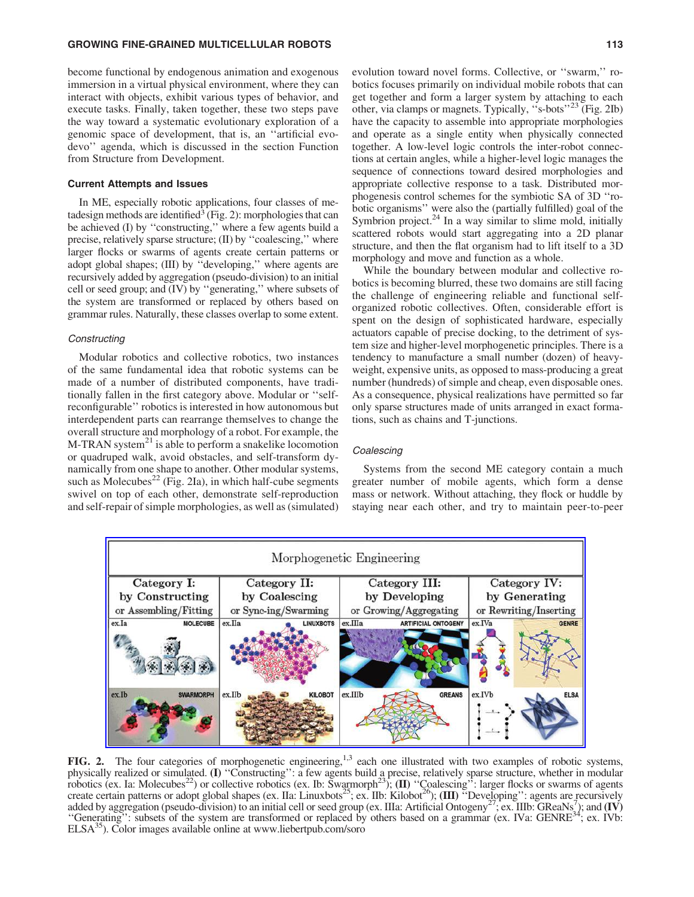## GROWING FINE-GRAINED MULTICELLULAR ROBOTS **113**

become functional by endogenous animation and exogenous immersion in a virtual physical environment, where they can interact with objects, exhibit various types of behavior, and execute tasks. Finally, taken together, these two steps pave the way toward a systematic evolutionary exploration of a genomic space of development, that is, an ''artificial evodevo'' agenda, which is discussed in the section Function from Structure from Development.

#### Current Attempts and Issues

In ME, especially robotic applications, four classes of metadesign methods are identified<sup>3</sup> (Fig. 2): morphologies that can be achieved (I) by ''constructing,'' where a few agents build a precise, relatively sparse structure; (II) by ''coalescing,'' where larger flocks or swarms of agents create certain patterns or adopt global shapes; (III) by ''developing,'' where agents are recursively added by aggregation (pseudo-division) to an initial cell or seed group; and (IV) by ''generating,'' where subsets of the system are transformed or replaced by others based on grammar rules. Naturally, these classes overlap to some extent.

#### **Constructing**

Modular robotics and collective robotics, two instances of the same fundamental idea that robotic systems can be made of a number of distributed components, have traditionally fallen in the first category above. Modular or ''selfreconfigurable'' robotics is interested in how autonomous but interdependent parts can rearrange themselves to change the overall structure and morphology of a robot. For example, the  $M-TRAN$  system<sup>21</sup> is able to perform a snakelike locomotion or quadruped walk, avoid obstacles, and self-transform dynamically from one shape to another. Other modular systems, such as Molecubes<sup>22</sup> (Fig. 2Ia), in which half-cube segments swivel on top of each other, demonstrate self-reproduction and self-repair of simple morphologies, as well as (simulated) evolution toward novel forms. Collective, or ''swarm,'' robotics focuses primarily on individual mobile robots that can get together and form a larger system by attaching to each other, via clamps or magnets. Typically, ''s-bots''23 (Fig. 2Ib) have the capacity to assemble into appropriate morphologies and operate as a single entity when physically connected together. A low-level logic controls the inter-robot connections at certain angles, while a higher-level logic manages the sequence of connections toward desired morphologies and appropriate collective response to a task. Distributed morphogenesis control schemes for the symbiotic SA of 3D ''robotic organisms'' were also the (partially fulfilled) goal of the Symbrion project. $^{24}$  In a way similar to slime mold, initially scattered robots would start aggregating into a 2D planar structure, and then the flat organism had to lift itself to a 3D morphology and move and function as a whole.

While the boundary between modular and collective robotics is becoming blurred, these two domains are still facing the challenge of engineering reliable and functional selforganized robotic collectives. Often, considerable effort is spent on the design of sophisticated hardware, especially actuators capable of precise docking, to the detriment of system size and higher-level morphogenetic principles. There is a tendency to manufacture a small number (dozen) of heavyweight, expensive units, as opposed to mass-producing a great number (hundreds) of simple and cheap, even disposable ones. As a consequence, physical realizations have permitted so far only sparse structures made of units arranged in exact formations, such as chains and T-junctions.

#### **Coalescing**

Systems from the second ME category contain a much greater number of mobile agents, which form a dense mass or network. Without attaching, they flock or huddle by staying near each other, and try to maintain peer-to-peer



FIG. 2. The four categories of morphogenetic engineering,<sup>1,3</sup> each one illustrated with two examples of robotic systems, physically realized or simulated. (I) "Constructing": a few agents build a precise, relatively sparse structure, whether in modular robotics (ex. Ia: Molecubes<sup>22</sup>) or collective robotics (ex. Ib: Swarmorph<sup>23</sup>); (II) "Coa create certain patterns or adopt global shapes (ex. IIa: Linuxbots<sup>25</sup>; ex. IIb: Kilobot<sup>26</sup>); (III) "Developing": agents are recursively added by aggregation (pseudo-division) to an initial cell or seed group (ex. IIIa: Artificial Ontogeny<sup>27</sup>; ex. IIIb: GReaNs<sup>7</sup>); and (IV) "Generating": subsets of the system are transformed or replaced by others based on ELSA<sup>35</sup>). Color images available online at www.liebertpub.com/soro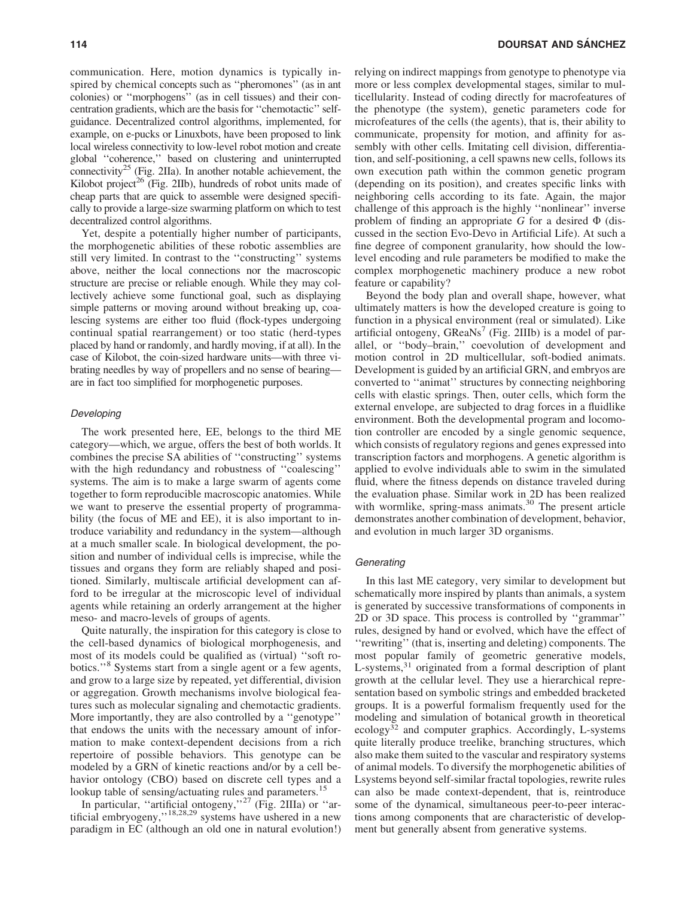communication. Here, motion dynamics is typically inspired by chemical concepts such as ''pheromones'' (as in ant colonies) or ''morphogens'' (as in cell tissues) and their concentration gradients, which are the basis for ''chemotactic'' selfguidance. Decentralized control algorithms, implemented, for example, on e-pucks or Linuxbots, have been proposed to link local wireless connectivity to low-level robot motion and create global ''coherence,'' based on clustering and uninterrupted connectivity<sup>25</sup> (Fig. 2IIa). In another notable achievement, the Kilobot project<sup>26</sup> (Fig. 2IIb), hundreds of robot units made of cheap parts that are quick to assemble were designed specifically to provide a large-size swarming platform on which to test decentralized control algorithms.

Yet, despite a potentially higher number of participants, the morphogenetic abilities of these robotic assemblies are still very limited. In contrast to the ''constructing'' systems above, neither the local connections nor the macroscopic structure are precise or reliable enough. While they may collectively achieve some functional goal, such as displaying simple patterns or moving around without breaking up, coalescing systems are either too fluid (flock-types undergoing continual spatial rearrangement) or too static (herd-types placed by hand or randomly, and hardly moving, if at all). In the case of Kilobot, the coin-sized hardware units—with three vibrating needles by way of propellers and no sense of bearing are in fact too simplified for morphogenetic purposes.

#### Developing

The work presented here, EE, belongs to the third ME category—which, we argue, offers the best of both worlds. It combines the precise SA abilities of ''constructing'' systems with the high redundancy and robustness of "coalescing" systems. The aim is to make a large swarm of agents come together to form reproducible macroscopic anatomies. While we want to preserve the essential property of programmability (the focus of ME and EE), it is also important to introduce variability and redundancy in the system—although at a much smaller scale. In biological development, the position and number of individual cells is imprecise, while the tissues and organs they form are reliably shaped and positioned. Similarly, multiscale artificial development can afford to be irregular at the microscopic level of individual agents while retaining an orderly arrangement at the higher meso- and macro-levels of groups of agents.

Quite naturally, the inspiration for this category is close to the cell-based dynamics of biological morphogenesis, and most of its models could be qualified as (virtual) ''soft robotics.''<sup>8</sup> Systems start from a single agent or a few agents, and grow to a large size by repeated, yet differential, division or aggregation. Growth mechanisms involve biological features such as molecular signaling and chemotactic gradients. More importantly, they are also controlled by a ''genotype'' that endows the units with the necessary amount of information to make context-dependent decisions from a rich repertoire of possible behaviors. This genotype can be modeled by a GRN of kinetic reactions and/or by a cell behavior ontology (CBO) based on discrete cell types and a lookup table of sensing/actuating rules and parameters.<sup>15</sup>

In particular, "artificial ontogeny,"<sup>27</sup> (Fig. 2IIIa) or "artificial embryogeny,"<sup>18,28,29</sup> systems have ushered in a new paradigm in EC (although an old one in natural evolution!) relying on indirect mappings from genotype to phenotype via more or less complex developmental stages, similar to multicellularity. Instead of coding directly for macrofeatures of the phenotype (the system), genetic parameters code for microfeatures of the cells (the agents), that is, their ability to communicate, propensity for motion, and affinity for assembly with other cells. Imitating cell division, differentiation, and self-positioning, a cell spawns new cells, follows its own execution path within the common genetic program (depending on its position), and creates specific links with neighboring cells according to its fate. Again, the major challenge of this approach is the highly ''nonlinear'' inverse problem of finding an appropriate  $G$  for a desired  $\Phi$  (discussed in the section Evo-Devo in Artificial Life). At such a fine degree of component granularity, how should the lowlevel encoding and rule parameters be modified to make the complex morphogenetic machinery produce a new robot feature or capability?

Beyond the body plan and overall shape, however, what ultimately matters is how the developed creature is going to function in a physical environment (real or simulated). Like artificial ontogeny,  $GReaNs'$  (Fig. 2IIIb) is a model of parallel, or ''body–brain,'' coevolution of development and motion control in 2D multicellular, soft-bodied animats. Development is guided by an artificial GRN, and embryos are converted to ''animat'' structures by connecting neighboring cells with elastic springs. Then, outer cells, which form the external envelope, are subjected to drag forces in a fluidlike environment. Both the developmental program and locomotion controller are encoded by a single genomic sequence, which consists of regulatory regions and genes expressed into transcription factors and morphogens. A genetic algorithm is applied to evolve individuals able to swim in the simulated fluid, where the fitness depends on distance traveled during the evaluation phase. Similar work in 2D has been realized with wormlike, spring-mass animats.<sup>30</sup> The present article demonstrates another combination of development, behavior, and evolution in much larger 3D organisms.

## **Generating**

In this last ME category, very similar to development but schematically more inspired by plants than animals, a system is generated by successive transformations of components in 2D or 3D space. This process is controlled by ''grammar'' rules, designed by hand or evolved, which have the effect of ''rewriting'' (that is, inserting and deleting) components. The most popular family of geometric generative models, L-systems,<sup>31</sup> originated from a formal description of plant growth at the cellular level. They use a hierarchical representation based on symbolic strings and embedded bracketed groups. It is a powerful formalism frequently used for the modeling and simulation of botanical growth in theoretical ecology<sup>32</sup> and computer graphics. Accordingly, L-systems quite literally produce treelike, branching structures, which also make them suited to the vascular and respiratory systems of animal models. To diversify the morphogenetic abilities of Lsystems beyond self-similar fractal topologies, rewrite rules can also be made context-dependent, that is, reintroduce some of the dynamical, simultaneous peer-to-peer interactions among components that are characteristic of development but generally absent from generative systems.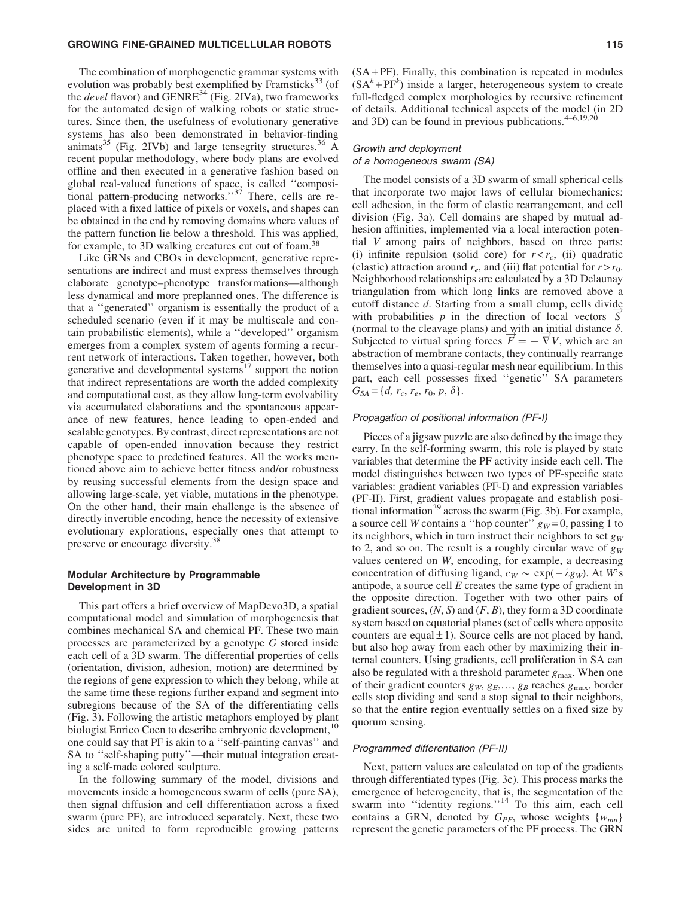#### GROWING FINE-GRAINED MULTICELLULAR ROBOTS 115

The combination of morphogenetic grammar systems with evolution was probably best exemplified by Framsticks<sup>33</sup> (of the *devel* flavor) and GENRE<sup>34</sup> (Fig. 2IVa), two frameworks for the automated design of walking robots or static structures. Since then, the usefulness of evolutionary generative systems has also been demonstrated in behavior-finding animats<sup>35</sup> (Fig. 2IVb) and large tensegrity structures.<sup>36</sup> A recent popular methodology, where body plans are evolved offline and then executed in a generative fashion based on global real-valued functions of space, is called ''compositional pattern-producing networks." $37$  There, cells are replaced with a fixed lattice of pixels or voxels, and shapes can be obtained in the end by removing domains where values of the pattern function lie below a threshold. This was applied, for example, to 3D walking creatures cut out of foam.38

Like GRNs and CBOs in development, generative representations are indirect and must express themselves through elaborate genotype–phenotype transformations—although less dynamical and more preplanned ones. The difference is that a ''generated'' organism is essentially the product of a scheduled scenario (even if it may be multiscale and contain probabilistic elements), while a ''developed'' organism emerges from a complex system of agents forming a recurrent network of interactions. Taken together, however, both generative and developmental systems<sup>17</sup> support the notion that indirect representations are worth the added complexity and computational cost, as they allow long-term evolvability via accumulated elaborations and the spontaneous appearance of new features, hence leading to open-ended and scalable genotypes. By contrast, direct representations are not capable of open-ended innovation because they restrict phenotype space to predefined features. All the works mentioned above aim to achieve better fitness and/or robustness by reusing successful elements from the design space and allowing large-scale, yet viable, mutations in the phenotype. On the other hand, their main challenge is the absence of directly invertible encoding, hence the necessity of extensive evolutionary explorations, especially ones that attempt to preserve or encourage diversity.<sup>38</sup>

# Modular Architecture by Programmable Development in 3D

This part offers a brief overview of MapDevo3D, a spatial computational model and simulation of morphogenesis that combines mechanical SA and chemical PF. These two main processes are parameterized by a genotype *G* stored inside each cell of a 3D swarm. The differential properties of cells (orientation, division, adhesion, motion) are determined by the regions of gene expression to which they belong, while at the same time these regions further expand and segment into subregions because of the SA of the differentiating cells (Fig. 3). Following the artistic metaphors employed by plant biologist Enrico Coen to describe embryonic development,<sup>10</sup> one could say that PF is akin to a ''self-painting canvas'' and SA to ''self-shaping putty''—their mutual integration creating a self-made colored sculpture.

In the following summary of the model, divisions and movements inside a homogeneous swarm of cells (pure SA), then signal diffusion and cell differentiation across a fixed swarm (pure PF), are introduced separately. Next, these two sides are united to form reproducible growing patterns

 $(SA + PF)$ . Finally, this combination is repeated in modules  $(SA<sup>k</sup> + PF<sup>k</sup>)$  inside a larger, heterogeneous system to create full-fledged complex morphologies by recursive refinement of details. Additional technical aspects of the model (in 2D and 3D) can be found in previous publications. $4-6,19,20$ 

## Growth and deployment of a homogeneous swarm (SA)

The model consists of a 3D swarm of small spherical cells that incorporate two major laws of cellular biomechanics: cell adhesion, in the form of elastic rearrangement, and cell division (Fig. 3a). Cell domains are shaped by mutual adhesion affinities, implemented via a local interaction potential *V* among pairs of neighbors, based on three parts: (i) infinite repulsion (solid core) for  $r < r_c$ , (ii) quadratic (elastic) attraction around  $r_e$ , and (iii) flat potential for  $r > r_0$ . Neighborhood relationships are calculated by a 3D Delaunay triangulation from which long links are removed above a cutoff distance *d*. Starting from a small clump, cells divide<br>with probabilities *n* in the direction of local vectors  $\vec{S}$ with probabilities *p* in the direction of local vectors *S* (normal to the cleavage plans) and with an initial distance  $\delta$ . (nothial to the cleavage plans) and with an initial distance *o*.<br>Subjected to virtual spring forces  $\vec{F} = -\vec{\nabla}V$ , which are an abstraction of membrane contacts, they continually rearrange themselves into a quasi-regular mesh near equilibrium. In this part, each cell possesses fixed ''genetic'' SA parameters  $G_{SA} = \{d, r_c, r_e, r_0, p, \delta\}.$ 

#### Propagation of positional information (PF-I)

Pieces of a jigsaw puzzle are also defined by the image they carry. In the self-forming swarm, this role is played by state variables that determine the PF activity inside each cell. The model distinguishes between two types of PF-specific state variables: gradient variables (PF-I) and expression variables (PF-II). First, gradient values propagate and establish positional information $39$  across the swarm (Fig. 3b). For example, a source cell *W* contains a "hop counter"  $g_W = 0$ , passing 1 to its neighbors, which in turn instruct their neighbors to set  $g_W$ to 2, and so on. The result is a roughly circular wave of  $g_W$ values centered on *W*, encoding, for example, a decreasing concentration of diffusing ligand,  $c_W \sim \exp(-\lambda g_W)$ . At *W*'s antipode, a source cell *E* creates the same type of gradient in the opposite direction. Together with two other pairs of gradient sources, (*N*, *S*) and (*F*, *B*), they form a 3D coordinate system based on equatorial planes (set of cells where opposite counters are equal  $\pm$  1). Source cells are not placed by hand, but also hop away from each other by maximizing their internal counters. Using gradients, cell proliferation in SA can also be regulated with a threshold parameter  $g_{\text{max}}$ . When one of their gradient counters  $g_W$ ,  $g_E$ ,...,  $g_B$  reaches  $g_{\text{max}}$ , border cells stop dividing and send a stop signal to their neighbors, so that the entire region eventually settles on a fixed size by quorum sensing.

## Programmed differentiation (PF-II)

Next, pattern values are calculated on top of the gradients through differentiated types (Fig. 3c). This process marks the emergence of heterogeneity, that is, the segmentation of the swarm into "identity regions."<sup>14</sup> To this aim, each cell contains a GRN, denoted by  $G_{PF}$ , whose weights  $\{w_{mn}\}$ represent the genetic parameters of the PF process. The GRN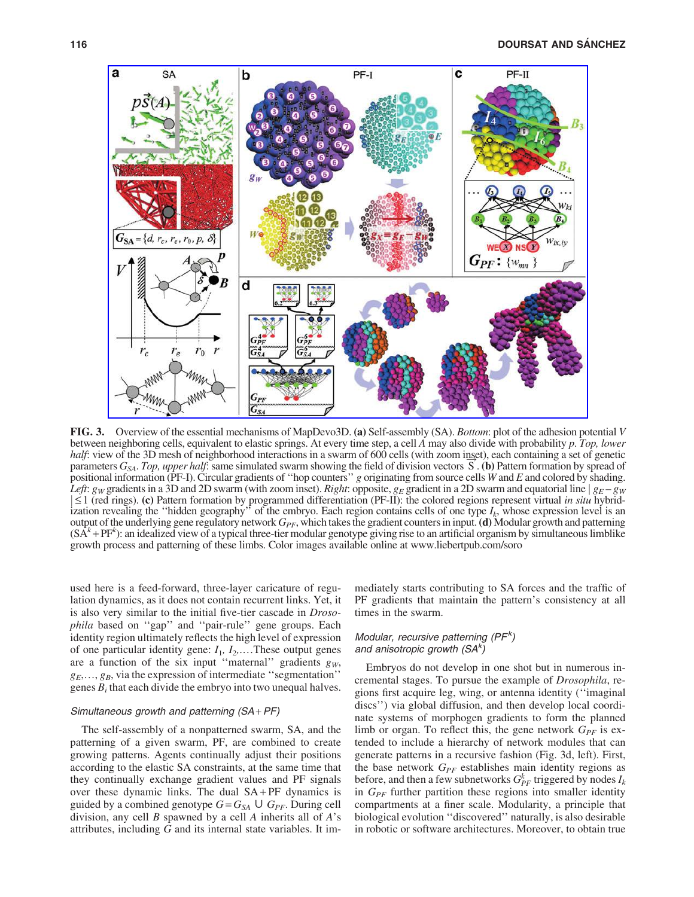

FIG. 3. Overview of the essential mechanisms of MapDevo3D. (a) Self-assembly (SA). *Bottom*: plot of the adhesion potential *V* between neighboring cells, equivalent to elastic springs. At every time step, a cell *A* may also divide with probability *p*. *Top, lower half*: view of the 3D mesh of neighborhood interactions in a swarm of 600 cells (with zoom inset), each containing a set of genetic parameters *G<sub>SA</sub>*. *Top, upper half*: same simulated swarm showing the field of division vectors S. (b) Pattern formation by spread of positional information (PF-I). Circular gradients of ''hop counters'' *g* originating from source cells *W* and *E* and colored by shading. *Left*:  $g_W$  gradients in a 3D and 2D swarm (with zoom inset). *Right*: opposite,  $g_E$  gradient in a 2D swarm and equatorial line  $|g_E - g_W|$  $|\leq 1$  (red rings). (c) Pattern formation by programmed differentiation (PF-II): the colored regions represent virtual *in situ* hybridization revealing the "hidden geography" of the embryo. Each region contains cells of one type  $I_k$ , whose expression level is an output of the underlying gene regulatory network  $G_{PF}$ , which takes the gradient counters in input. (d) Modular growth and patterning  $(SA<sup>k</sup> + PF<sup>k</sup>)$ : an idealized view of a typical three-tier modular genotype giving rise to an artificial organism by simultaneous limblike growth process and patterning of these limbs. Color images available online at www.liebertpub.com/soro

used here is a feed-forward, three-layer caricature of regulation dynamics, as it does not contain recurrent links. Yet, it is also very similar to the initial five-tier cascade in *Drosophila* based on ''gap'' and ''pair-rule'' gene groups. Each identity region ultimately reflects the high level of expression of one particular identity gene:  $I_1$ ,  $I_2$ ,....These output genes are a function of the six input "maternal" gradients  $g_W$ ,  $g_E, \ldots, g_B$ , via the expression of intermediate "segmentation" genes *Bi* that each divide the embryo into two unequal halves.

## Simultaneous growth and patterning  $(SA + PF)$

The self-assembly of a nonpatterned swarm, SA, and the patterning of a given swarm, PF, are combined to create growing patterns. Agents continually adjust their positions according to the elastic SA constraints, at the same time that they continually exchange gradient values and PF signals over these dynamic links. The dual  $SA + PF$  dynamics is guided by a combined genotype  $G = G_{SA} \cup G_{PF}$ . During cell division, any cell *B* spawned by a cell *A* inherits all of *A*'s attributes, including *G* and its internal state variables. It immediately starts contributing to SA forces and the traffic of PF gradients that maintain the pattern's consistency at all times in the swarm.

# Modular, recursive patterning  $(PF<sup>k</sup>)$ and anisotropic growth  $(SA<sup>k</sup>)$

Embryos do not develop in one shot but in numerous incremental stages. To pursue the example of *Drosophila*, regions first acquire leg, wing, or antenna identity (''imaginal discs'') via global diffusion, and then develop local coordinate systems of morphogen gradients to form the planned limb or organ. To reflect this, the gene network  $G_{PF}$  is extended to include a hierarchy of network modules that can generate patterns in a recursive fashion (Fig. 3d, left). First, the base network  $G_{PF}$  establishes main identity regions as before, and then a few subnetworks  $G_{PF}^k$  triggered by nodes  $I_k$ in  $G_{PF}$  further partition these regions into smaller identity compartments at a finer scale. Modularity, a principle that biological evolution ''discovered'' naturally, is also desirable in robotic or software architectures. Moreover, to obtain true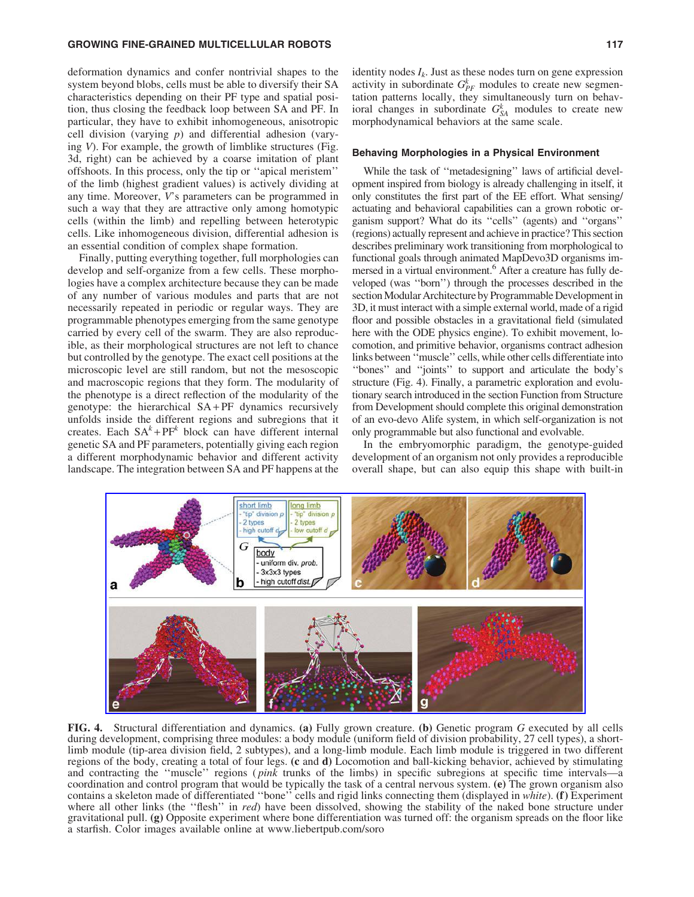## GROWING FINE-GRAINED MULTICELLULAR ROBOTS **117**

deformation dynamics and confer nontrivial shapes to the system beyond blobs, cells must be able to diversify their SA characteristics depending on their PF type and spatial position, thus closing the feedback loop between SA and PF. In particular, they have to exhibit inhomogeneous, anisotropic cell division (varying *p*) and differential adhesion (varying *V*). For example, the growth of limblike structures (Fig. 3d, right) can be achieved by a coarse imitation of plant offshoots. In this process, only the tip or ''apical meristem'' of the limb (highest gradient values) is actively dividing at any time. Moreover, *V*'s parameters can be programmed in such a way that they are attractive only among homotypic cells (within the limb) and repelling between heterotypic cells. Like inhomogeneous division, differential adhesion is an essential condition of complex shape formation.

Finally, putting everything together, full morphologies can develop and self-organize from a few cells. These morphologies have a complex architecture because they can be made of any number of various modules and parts that are not necessarily repeated in periodic or regular ways. They are programmable phenotypes emerging from the same genotype carried by every cell of the swarm. They are also reproducible, as their morphological structures are not left to chance but controlled by the genotype. The exact cell positions at the microscopic level are still random, but not the mesoscopic and macroscopic regions that they form. The modularity of the phenotype is a direct reflection of the modularity of the genotype: the hierarchical SA + PF dynamics recursively unfolds inside the different regions and subregions that it creates. Each  $SA^{k} + PF^{k}$  block can have different internal genetic SA and PF parameters, potentially giving each region a different morphodynamic behavior and different activity landscape. The integration between SA and PF happens at the identity nodes  $I_k$ . Just as these nodes turn on gene expression activity in subordinate  $G_{PF}^k$  modules to create new segmentation patterns locally, they simultaneously turn on behavioral changes in subordinate  $G_{SA}^k$  modules to create new morphodynamical behaviors at the same scale.

## Behaving Morphologies in a Physical Environment

While the task of ''metadesigning'' laws of artificial development inspired from biology is already challenging in itself, it only constitutes the first part of the EE effort. What sensing/ actuating and behavioral capabilities can a grown robotic organism support? What do its ''cells'' (agents) and ''organs'' (regions) actually represent and achieve in practice? This section describes preliminary work transitioning from morphological to functional goals through animated MapDevo3D organisms immersed in a virtual environment.<sup>6</sup> After a creature has fully developed (was ''born'') through the processes described in the section Modular Architecture by Programmable Development in 3D, it must interact with a simple external world, made of a rigid floor and possible obstacles in a gravitational field (simulated here with the ODE physics engine). To exhibit movement, locomotion, and primitive behavior, organisms contract adhesion links between ''muscle'' cells, while other cells differentiate into ''bones'' and ''joints'' to support and articulate the body's structure (Fig. 4). Finally, a parametric exploration and evolutionary search introduced in the section Function from Structure from Development should complete this original demonstration of an evo-devo Alife system, in which self-organization is not only programmable but also functional and evolvable.

In the embryomorphic paradigm, the genotype-guided development of an organism not only provides a reproducible overall shape, but can also equip this shape with built-in



FIG. 4. Structural differentiation and dynamics. (a) Fully grown creature. (b) Genetic program *G* executed by all cells during development, comprising three modules: a body module (uniform field of division probability, 27 cell types), a shortlimb module (tip-area division field, 2 subtypes), and a long-limb module. Each limb module is triggered in two different regions of the body, creating a total of four legs.  $(c \text{ and } d)$  Locomotion and ball-kicking behavior, achieved by stimulating and contracting the ''muscle'' regions ( *pink* trunks of the limbs) in specific subregions at specific time intervals—a coordination and control program that would be typically the task of a central nervous system. (e) The grown organism also contains a skeleton made of differentiated "bone" cells and rigid links connecting them (displayed in *white*). (f) Experiment where all other links (the ''flesh'' in *red*) have been dissolved, showing the stability of the naked bone structure under gravitational pull. (g) Opposite experiment where bone differentiation was turned off: the organism spreads on the floor like a starfish. Color images available online at www.liebertpub.com/soro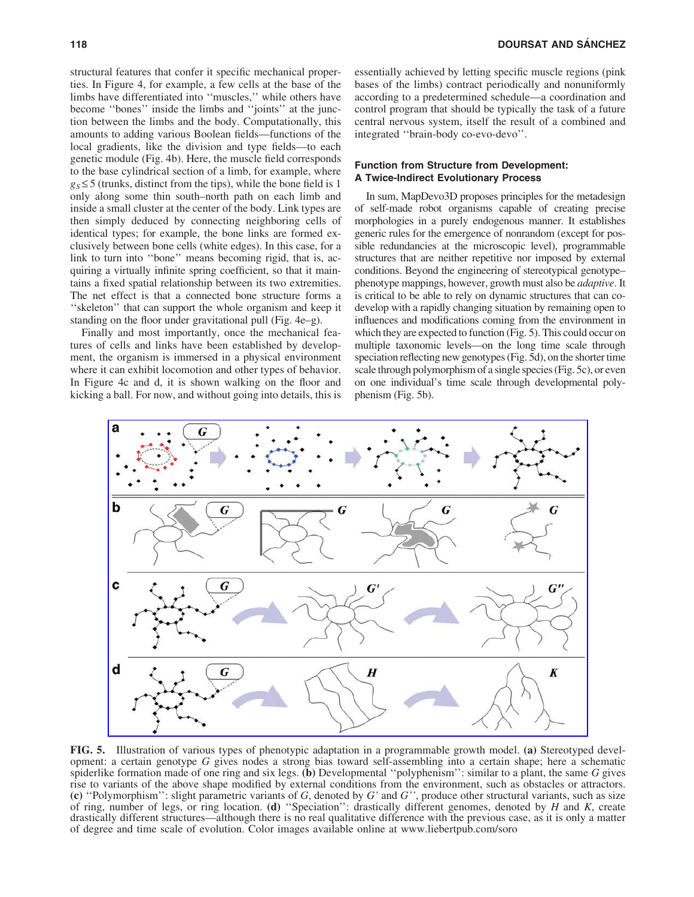structural features that confer it specific mechanical properties. In Figure 4, for example, a few cells at the base of the limbs have differentiated into ''muscles,'' while others have become ''bones'' inside the limbs and ''joints'' at the junction between the limbs and the body. Computationally, this amounts to adding various Boolean fields—functions of the local gradients, like the division and type fields—to each genetic module (Fig. 4b). Here, the muscle field corresponds to the base cylindrical section of a limb, for example, where  $g_S \leq 5$  (trunks, distinct from the tips), while the bone field is 1 only along some thin south–north path on each limb and inside a small cluster at the center of the body. Link types are then simply deduced by connecting neighboring cells of identical types; for example, the bone links are formed exclusively between bone cells (white edges). In this case, for a link to turn into ''bone'' means becoming rigid, that is, acquiring a virtually infinite spring coefficient, so that it maintains a fixed spatial relationship between its two extremities. The net effect is that a connected bone structure forms a ''skeleton'' that can support the whole organism and keep it standing on the floor under gravitational pull (Fig. 4e–g).

Finally and most importantly, once the mechanical features of cells and links have been established by development, the organism is immersed in a physical environment where it can exhibit locomotion and other types of behavior. In Figure 4c and d, it is shown walking on the floor and kicking a ball. For now, and without going into details, this is essentially achieved by letting specific muscle regions (pink bases of the limbs) contract periodically and nonuniformly according to a predetermined schedule—a coordination and control program that should be typically the task of a future central nervous system, itself the result of a combined and integrated ''brain-body co-evo-devo''.

## Function from Structure from Development: A Twice-Indirect Evolutionary Process

In sum, MapDevo3D proposes principles for the metadesign of self-made robot organisms capable of creating precise morphologies in a purely endogenous manner. It establishes generic rules for the emergence of nonrandom (except for possible redundancies at the microscopic level), programmable structures that are neither repetitive nor imposed by external conditions. Beyond the engineering of stereotypical genotype– phenotype mappings, however, growth must also be *adaptive*. It is critical to be able to rely on dynamic structures that can codevelop with a rapidly changing situation by remaining open to influences and modifications coming from the environment in which they are expected to function (Fig. 5). This could occur on multiple taxonomic levels—on the long time scale through speciation reflecting new genotypes (Fig. 5d), on the shorter time scale through polymorphism of a single species (Fig. 5c), or even on one individual's time scale through developmental polyphenism (Fig. 5b).



FIG. 5. Illustration of various types of phenotypic adaptation in a programmable growth model. (a) Stereotyped development: a certain genotype *G* gives nodes a strong bias toward self-assembling into a certain shape; here a schematic spiderlike formation made of one ring and six legs. (b) Developmental ''polyphenism'': similar to a plant, the same *G* gives rise to variants of the above shape modified by external conditions from the environment, such as obstacles or attractors. (c) ''Polymorphism'': slight parametric variants of *G*, denoted by *G'* and *G''*, produce other structural variants, such as size of ring, number of legs, or ring location. (d) ''Speciation'': drastically different genomes, denoted by *H* and *K*, create drastically different structures—although there is no real qualitative difference with the previous case, as it is only a matter of degree and time scale of evolution. Color images available online at www.liebertpub.com/soro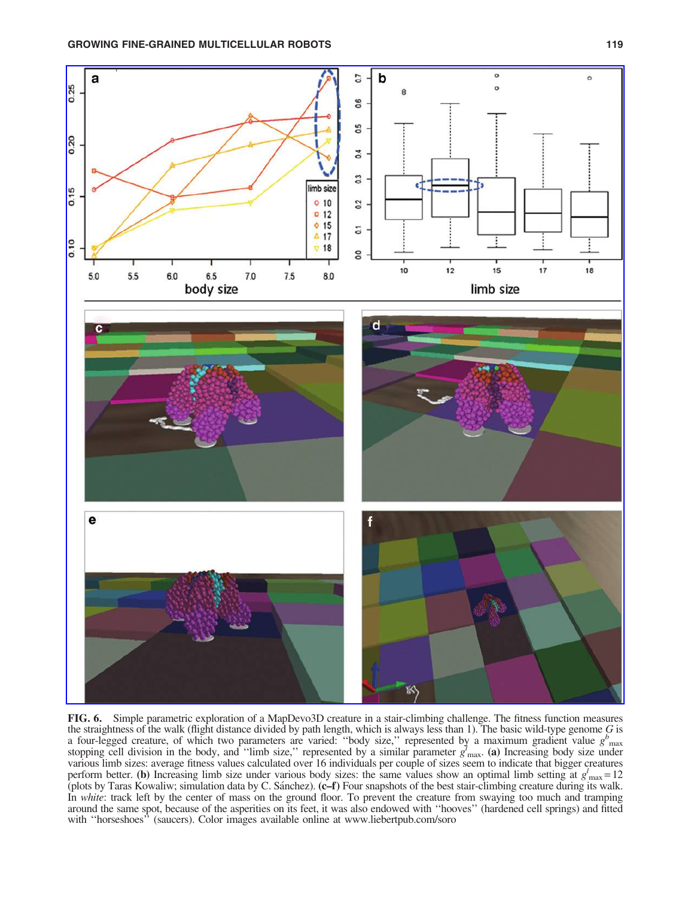

FIG. 6. Simple parametric exploration of a MapDevo3D creature in a stair-climbing challenge. The fitness function measures the straightness of the walk (flight distance divided by path length, which is always less than 1). The basic wild-type genome G is<br>a four-legged creature, of which two parameters are varied: "body size," represented by a various limb sizes: average fitness values calculated over 16 individuals per couple of sizes seem to indicate that bigger creatures perform better. (b) Increasing limb size under various body sizes: the same values show an optimal limb setting at  $g_{\text{max}}^l = 12$ (plots by Taras Kowaliw; simulation data by C. Sánchez).  $(c-f)$  Four snapshots of the best stair-climbing creature during its walk. In *white*: track left by the center of mass on the ground floor. To prevent the creature from swaying too much and tramping around the same spot, because of the asperities on its feet, it was also endowed with ''hooves'' (hardened cell springs) and fitted with "horseshoes" (saucers). Color images available online at www.liebertpub.com/soro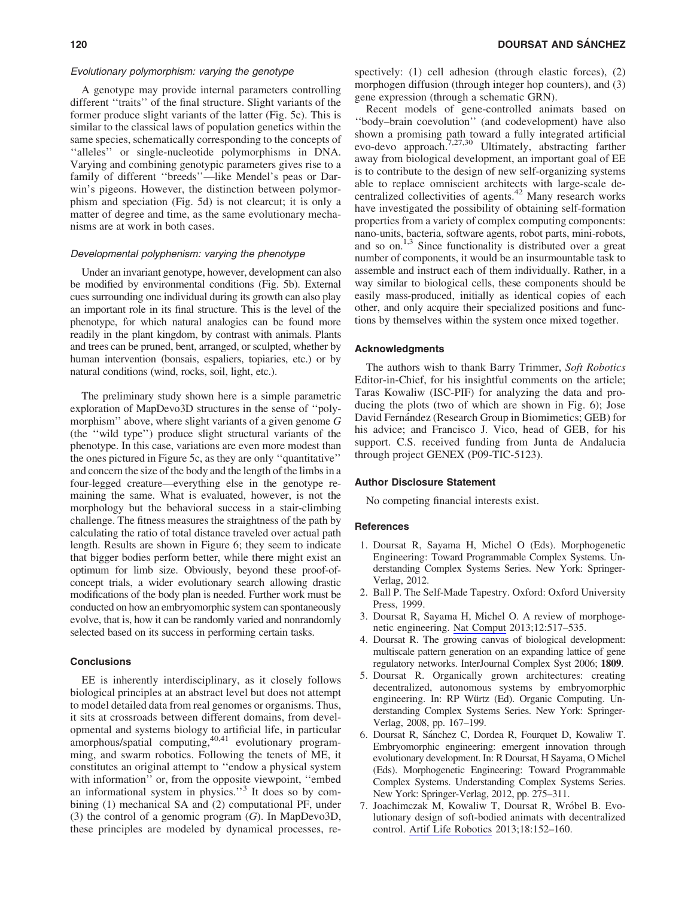#### Evolutionary polymorphism: varying the genotype

A genotype may provide internal parameters controlling different ''traits'' of the final structure. Slight variants of the former produce slight variants of the latter (Fig. 5c). This is similar to the classical laws of population genetics within the same species, schematically corresponding to the concepts of ''alleles'' or single-nucleotide polymorphisms in DNA. Varying and combining genotypic parameters gives rise to a family of different ''breeds''—like Mendel's peas or Darwin's pigeons. However, the distinction between polymorphism and speciation (Fig. 5d) is not clearcut; it is only a matter of degree and time, as the same evolutionary mechanisms are at work in both cases.

## Developmental polyphenism: varying the phenotype

Under an invariant genotype, however, development can also be modified by environmental conditions (Fig. 5b). External cues surrounding one individual during its growth can also play an important role in its final structure. This is the level of the phenotype, for which natural analogies can be found more readily in the plant kingdom, by contrast with animals. Plants and trees can be pruned, bent, arranged, or sculpted, whether by human intervention (bonsais, espaliers, topiaries, etc.) or by natural conditions (wind, rocks, soil, light, etc.).

The preliminary study shown here is a simple parametric exploration of MapDevo3D structures in the sense of ''polymorphism'' above, where slight variants of a given genome *G* (the ''wild type'') produce slight structural variants of the phenotype. In this case, variations are even more modest than the ones pictured in Figure 5c, as they are only ''quantitative'' and concern the size of the body and the length of the limbs in a four-legged creature—everything else in the genotype remaining the same. What is evaluated, however, is not the morphology but the behavioral success in a stair-climbing challenge. The fitness measures the straightness of the path by calculating the ratio of total distance traveled over actual path length. Results are shown in Figure 6; they seem to indicate that bigger bodies perform better, while there might exist an optimum for limb size. Obviously, beyond these proof-ofconcept trials, a wider evolutionary search allowing drastic modifications of the body plan is needed. Further work must be conducted on how an embryomorphic system can spontaneously evolve, that is, how it can be randomly varied and nonrandomly selected based on its success in performing certain tasks.

# **Conclusions**

EE is inherently interdisciplinary, as it closely follows biological principles at an abstract level but does not attempt to model detailed data from real genomes or organisms. Thus, it sits at crossroads between different domains, from developmental and systems biology to artificial life, in particular amorphous/spatial computing, <sup>40,41</sup> evolutionary programming, and swarm robotics. Following the tenets of ME, it constitutes an original attempt to ''endow a physical system with information'' or, from the opposite viewpoint, ''embed an informational system in physics."<sup>3</sup> It does so by combining (1) mechanical SA and (2) computational PF, under (3) the control of a genomic program (*G*). In MapDevo3D, these principles are modeled by dynamical processes, respectively: (1) cell adhesion (through elastic forces), (2) morphogen diffusion (through integer hop counters), and (3) gene expression (through a schematic GRN).

Recent models of gene-controlled animats based on ''body–brain coevolution'' (and codevelopment) have also shown a promising path toward a fully integrated artificial evo-devo approach.7,27,30 Ultimately, abstracting farther away from biological development, an important goal of EE is to contribute to the design of new self-organizing systems able to replace omniscient architects with large-scale decentralized collectivities of agents.<sup>42</sup> Many research works have investigated the possibility of obtaining self-formation properties from a variety of complex computing components: nano-units, bacteria, software agents, robot parts, mini-robots, and so on. $^{1,3}$  Since functionality is distributed over a great number of components, it would be an insurmountable task to assemble and instruct each of them individually. Rather, in a way similar to biological cells, these components should be easily mass-produced, initially as identical copies of each other, and only acquire their specialized positions and functions by themselves within the system once mixed together.

#### Acknowledgments

The authors wish to thank Barry Trimmer, *Soft Robotics* Editor-in-Chief, for his insightful comments on the article; Taras Kowaliw (ISC-PIF) for analyzing the data and producing the plots (two of which are shown in Fig. 6); Jose David Fernández (Research Group in Biomimetics; GEB) for his advice; and Francisco J. Vico, head of GEB, for his support. C.S. received funding from Junta de Andalucia through project GENEX (P09-TIC-5123).

#### Author Disclosure Statement

No competing financial interests exist.

#### **References**

- 1. Doursat R, Sayama H, Michel O (Eds). Morphogenetic Engineering: Toward Programmable Complex Systems. Understanding Complex Systems Series. New York: Springer-Verlag, 2012.
- 2. Ball P. The Self-Made Tapestry. Oxford: Oxford University Press, 1999.
- 3. Doursat R, Sayama H, Michel O. A review of morphogenetic engineering. [Nat Comput](http://online.liebertpub.com/action/showLinks?crossref=10.1007%2Fs11047-013-9398-1) 2013;12:517–535.
- 4. Doursat R. The growing canvas of biological development: multiscale pattern generation on an expanding lattice of gene regulatory networks. InterJournal Complex Syst 2006; 1809.
- 5. Doursat R. Organically grown architectures: creating decentralized, autonomous systems by embryomorphic engineering. In: RP Würtz (Ed). Organic Computing. Understanding Complex Systems Series. New York: Springer-Verlag, 2008, pp. 167–199.
- 6. Doursat R, Sánchez C, Dordea R, Fourquet D, Kowaliw T. Embryomorphic engineering: emergent innovation through evolutionary development. In: R Doursat, H Sayama, O Michel (Eds). Morphogenetic Engineering: Toward Programmable Complex Systems. Understanding Complex Systems Series. New York: Springer-Verlag, 2012, pp. 275–311.
- 7. Joachimczak M, Kowaliw T, Doursat R, Wróbel B. Evolutionary design of soft-bodied animats with decentralized control. [Artif Life Robotics](http://online.liebertpub.com/action/showLinks?crossref=10.1007%2Fs10015-013-0121-1) 2013;18:152–160.